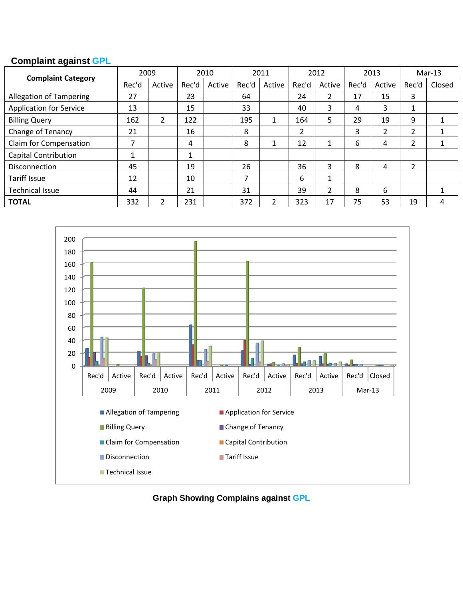# **Complaint against GPL**

|                                |       | 2009   |       | 2010   |       | 2011    |       | 2012   |       | 2013   |       | $Mar-13$ |  |
|--------------------------------|-------|--------|-------|--------|-------|---------|-------|--------|-------|--------|-------|----------|--|
| <b>Complaint Category</b>      | Rec'd | Active | Rec'd | Active | Rec'd | Active  | Rec'd | Active | Rec'd | Active | Rec'd | Closed   |  |
| <b>Allegation of Tampering</b> | 27    |        | 23    |        | 64    |         | 24    | 2      | 17    | 15     | 3     |          |  |
| <b>Application for Service</b> | 13    |        | 15    |        | 33    |         | 40    | 3      | 4     | 3      | Ŧ.    |          |  |
| <b>Billing Query</b>           | 162   | 2      | 122   |        | 195   | 1<br>л. | 164   | 5      | 29    | 19     | 9     |          |  |
| Change of Tenancy              | 21    |        | 16    |        | 8     |         | 2     |        | 3     | 2      | 2     |          |  |
| Claim for Compensation         | 7     |        | 4     |        | 8     |         | 12    | 1      | 6     | 4      | 2     |          |  |
| <b>Capital Contribution</b>    | 4     |        | 1     |        |       |         |       |        |       |        |       |          |  |
| <b>Disconnection</b>           | 45    |        | 19    |        | 26    |         | 36    | 3      | 8     | 4      | 2     |          |  |
| <b>Tariff Issue</b>            | 12    |        | 10    |        |       |         | 6     | 1      |       |        |       |          |  |
| <b>Technical Issue</b>         | 44    |        | 21    |        | 31    |         | 39    | 2      | 8     | 6      |       |          |  |
| <b>TOTAL</b>                   | 332   | 2      | 231   |        | 372   | 2       | 323   | 17     | 75    | 53     | 19    | 4        |  |



**Graph Showing Complains against GPL**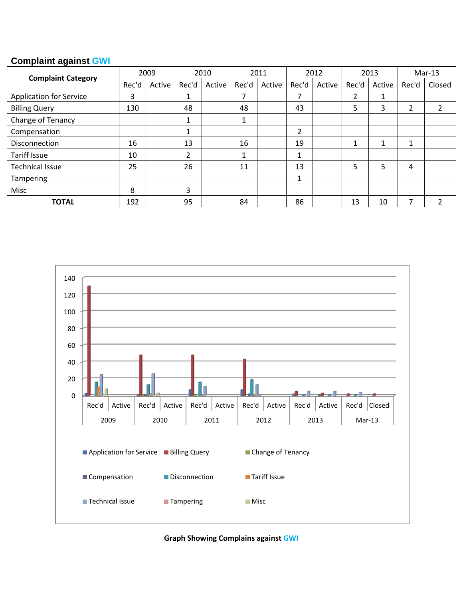#### **Complaint against GWI**

|                                | 2009  |        | 2010           |        | 2011                      |        | 2012         |        | 2013  |        | $Mar-13$       |        |
|--------------------------------|-------|--------|----------------|--------|---------------------------|--------|--------------|--------|-------|--------|----------------|--------|
| <b>Complaint Category</b>      | Rec'd | Active | Rec'd          | Active | Rec'd                     | Active | Rec'd        | Active | Rec'd | Active | Rec'd          | Closed |
| <b>Application for Service</b> | 3     |        | 1              |        | 7                         |        | 7            |        | 2     | 1      |                |        |
| <b>Billing Query</b>           | 130   |        | 48             |        | 48                        |        | 43           |        | 5     | 3      | $\overline{2}$ |        |
| Change of Tenancy              |       |        | 1              |        | $\blacktriangleleft$<br>┻ |        |              |        |       |        |                |        |
| Compensation                   |       |        | 1              |        |                           |        | 2            |        |       |        |                |        |
| Disconnection                  | 16    |        | 13             |        | 16                        |        | 19           |        |       | 1      |                |        |
| <b>Tariff Issue</b>            | 10    |        | $\overline{2}$ |        | ┻                         |        |              |        |       |        |                |        |
| <b>Technical Issue</b>         | 25    |        | 26             |        | 11                        |        | 13           |        | 5     | 5      | 4              |        |
| Tampering                      |       |        |                |        |                           |        | $\mathbf{A}$ |        |       |        |                |        |
| Misc                           | 8     |        | 3              |        |                           |        |              |        |       |        |                |        |
| <b>TOTAL</b>                   | 192   |        | 95             |        | 84                        |        | 86           |        | 13    | 10     | 7              |        |



**Graph Showing Complains against GWI**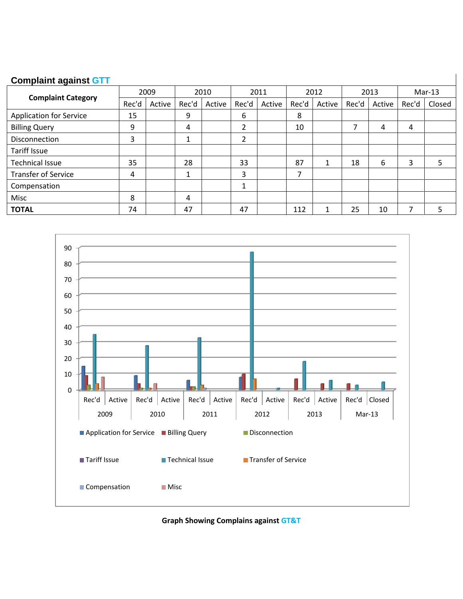#### **Complaint against GTT**

|                                | 2009  |        | 2010  |        | 2011   |        | 2012  |        | 2013  |        | $Mar-13$ |        |
|--------------------------------|-------|--------|-------|--------|--------|--------|-------|--------|-------|--------|----------|--------|
| <b>Complaint Category</b>      | Rec'd | Active | Rec'd | Active | Rec'd  | Active | Rec'd | Active | Rec'd | Active | Rec'd    | Closed |
| <b>Application for Service</b> | 15    |        | 9     |        | 6      |        | 8     |        |       |        |          |        |
| <b>Billing Query</b>           | 9     |        | 4     |        | 2      |        | 10    |        | 7     | 4      | 4        |        |
| Disconnection                  | 3     |        | 1     |        | 2      |        |       |        |       |        |          |        |
| <b>Tariff Issue</b>            |       |        |       |        |        |        |       |        |       |        |          |        |
| <b>Technical Issue</b>         | 35    |        | 28    |        | 33     |        | 87    |        | 18    | 6      | 3        |        |
| <b>Transfer of Service</b>     | 4     |        | 1     |        | 3      |        | 7     |        |       |        |          |        |
| Compensation                   |       |        |       |        | 1<br>┻ |        |       |        |       |        |          |        |
| Misc                           | 8     |        | 4     |        |        |        |       |        |       |        |          |        |
| <b>TOTAL</b>                   | 74    |        | 47    |        | 47     |        | 112   |        | 25    | 10     |          |        |



**Graph Showing Complains against GT&T**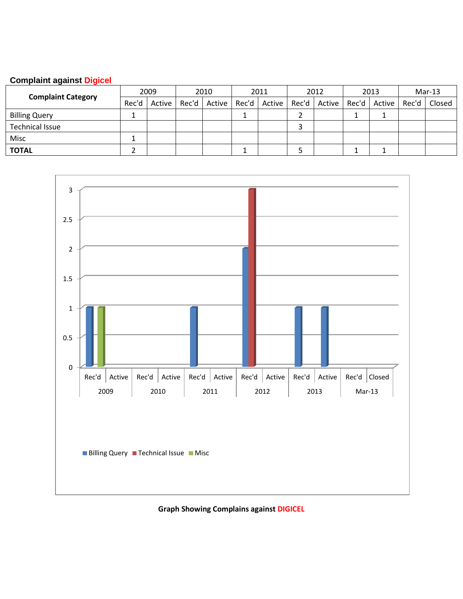### **Complaint against Digicel**

| <b>Complaint Category</b> | 2009  |        | 2010 |  | 2011 |  | 2012 |  | 2013 |  | $Mar-13$                                                                           |  |
|---------------------------|-------|--------|------|--|------|--|------|--|------|--|------------------------------------------------------------------------------------|--|
|                           | Rec'd | Active |      |  |      |  |      |  |      |  | Rec'd   Active   Rec'd   Active   Rec'd   Active   Rec'd   Active   Rec'd   Closed |  |
| <b>Billing Query</b>      |       |        |      |  |      |  |      |  |      |  |                                                                                    |  |
| <b>Technical Issue</b>    |       |        |      |  |      |  |      |  |      |  |                                                                                    |  |
| Misc                      |       |        |      |  |      |  |      |  |      |  |                                                                                    |  |
| <b>TOTAL</b>              |       |        |      |  |      |  |      |  |      |  |                                                                                    |  |



**Graph Showing Complains against DIGICEL**